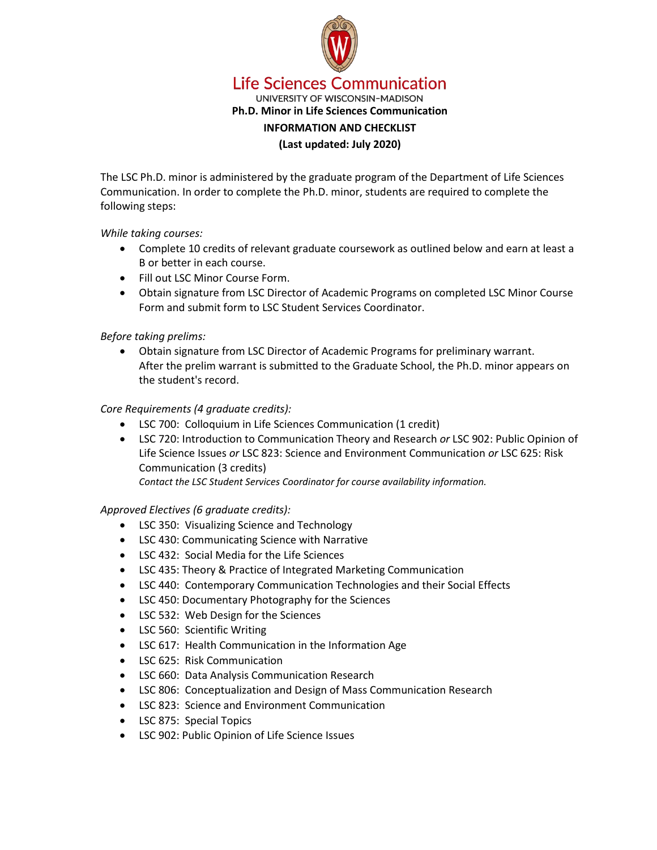

**Life Sciences Communication** UNIVERSITY OF WISCONSIN-MADISON **Ph.D. Minor in Life Sciences Communication INFORMATION AND CHECKLIST (Last updated: July 2020)**

The LSC Ph.D. minor is administered by the graduate program of the Department of Life Sciences Communication. In order to complete the Ph.D. minor, students are required to complete the following steps:

## *While taking courses:*

- Complete 10 credits of relevant graduate coursework as outlined below and earn at least a B or better in each course.
- Fill out LSC Minor Course Form.
- Obtain signature from LSC Director of Academic Programs on completed LSC Minor Course Form and submit form to LSC Student Services Coordinator.

## *Before taking prelims:*

• Obtain signature from LSC Director of Academic Programs for preliminary warrant. After the prelim warrant is submitted to the Graduate School, the Ph.D. minor appears on the student's record.

## *Core Requirements (4 graduate credits):*

- LSC 700: Colloquium in Life Sciences Communication (1 credit)
- LSC 720: Introduction to Communication Theory and Research *or* LSC 902: Public Opinion of Life Science Issues *or* LSC 823: Science and Environment Communication *or* LSC 625: Risk Communication (3 credits)

*Contact the LSC Student Services Coordinator for course availability information.*

### *Approved Electives (6 graduate credits):*

- LSC 350: Visualizing Science and Technology
- LSC 430: Communicating Science with Narrative
- LSC 432: Social Media for the Life Sciences
- LSC 435: Theory & Practice of Integrated Marketing Communication
- LSC 440: Contemporary Communication Technologies and their Social Effects
- LSC 450: Documentary Photography for the Sciences
- LSC 532: Web Design for the Sciences
- LSC 560: Scientific Writing
- LSC 617: Health Communication in the Information Age
- LSC 625: Risk Communication
- LSC 660: Data Analysis Communication Research
- LSC 806: Conceptualization and Design of Mass Communication Research
- LSC 823: Science and Environment Communication
- LSC 875: Special Topics
- LSC 902: Public Opinion of Life Science Issues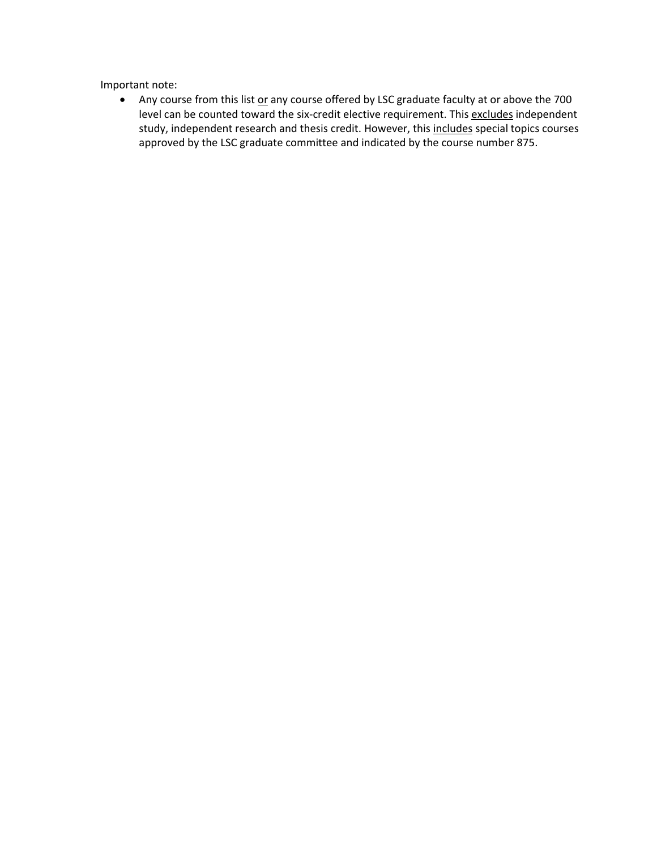Important note:

• Any course from this list or any course offered by LSC graduate faculty at or above the 700 level can be counted toward the six-credit elective requirement. This excludes independent study, independent research and thesis credit. However, this includes special topics courses approved by the LSC graduate committee and indicated by the course number 875.